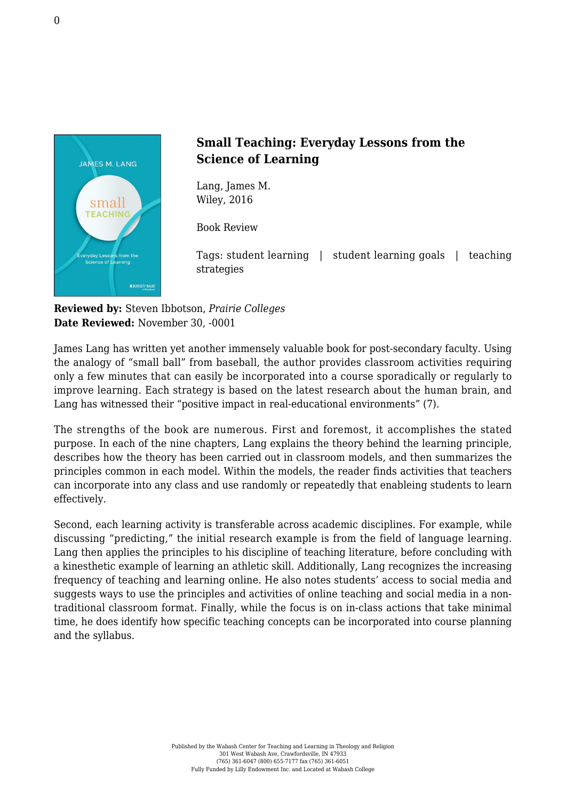

## **Small Teaching: Everyday Lessons from the Science of Learning**

Lang, James M. [Wiley, 2016](http://www.wiley.com/WileyCDA/WileyTitle/productCd-1118944496.html)

Book Review

Tags: student learning | student learning goals | teaching strategies

**Reviewed by:** Steven Ibbotson, *Prairie Colleges* **Date Reviewed:** November 30, -0001

James Lang has written yet another immensely valuable book for post-secondary faculty. Using the analogy of "small ball" from baseball, the author provides classroom activities requiring only a few minutes that can easily be incorporated into a course sporadically or regularly to improve learning. Each strategy is based on the latest research about the human brain, and Lang has witnessed their "positive impact in real-educational environments" (7).

The strengths of the book are numerous. First and foremost, it accomplishes the stated purpose. In each of the nine chapters, Lang explains the theory behind the learning principle, describes how the theory has been carried out in classroom models, and then summarizes the principles common in each model. Within the models, the reader finds activities that teachers can incorporate into any class and use randomly or repeatedly that enableing students to learn effectively.

Second, each learning activity is transferable across academic disciplines. For example, while discussing "predicting," the initial research example is from the field of language learning. Lang then applies the principles to his discipline of teaching literature, before concluding with a kinesthetic example of learning an athletic skill. Additionally, Lang recognizes the increasing frequency of teaching and learning online. He also notes students' access to social media and suggests ways to use the principles and activities of online teaching and social media in a nontraditional classroom format. Finally, while the focus is on in-class actions that take minimal time, he does identify how specific teaching concepts can be incorporated into course planning and the syllabus.